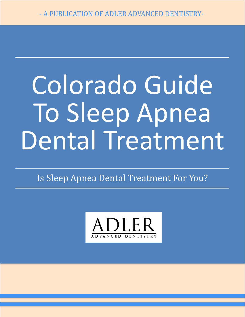# Colorado Guide To Sleep Apnea Dental Treatment

Is Sleep Apnea Dental Treatment For You?

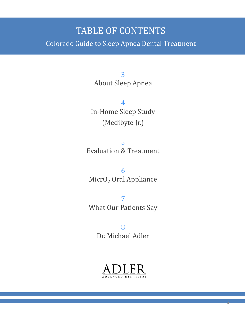#### TABLE OF CONTENTS

Colorado Guide to Sleep Apnea Dental Treatment

3 About Sleep Apnea

4 In-Home Sleep Study (Medibyte Jr.)

5 Evaluation & Treatment

6 MicrO<sub>2</sub> Oral Appliance

7 What Our Patients Say

> 8 Dr. Michael Adler



2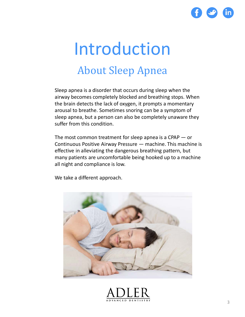

#### Introduction About Sleep Apnea

Sleep apnea is a disorder that occurs during sleep when the airway becomes completely blocked and breathing stops. When the brain detects the lack of oxygen, it prompts a momentary arousal to breathe. Sometimes snoring can be a symptom of sleep apnea, but a person can also be completely unaware they suffer from this condition.

The most common treatment for sleep apnea is a CPAP — or Continuous Positive Airway Pressure — machine. This machine is effective in alleviating the dangerous breathing pattern, but many patients are uncomfortable being hooked up to a machine all night and compliance is low.

We take a different approach.



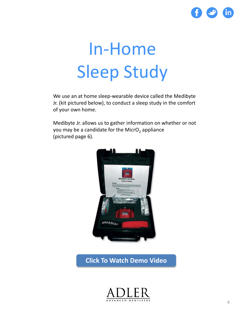

### In-Home Sleep Study

We use an at home sleep-wearable device called the Medibyte Jr. (kit pictured below), to conduct a sleep study in the comfort of your own home.

Medibyte Jr. allows us to gather information on whether or not you may be a candidate for the MicrO<sub>2</sub> appliance (pictured page 6).



**[Click To Watch Demo Video](http://www.adlerdentistry.com/blog/medibyte-jr-instructional-video)**

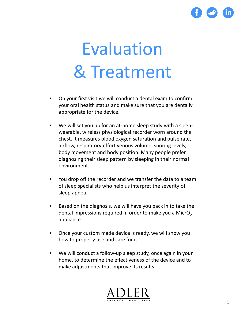

## Evaluation & Treatment

- On your first visit we will conduct a dental exam to confirm your oral health status and make sure that you are dentally appropriate for the device.
- We will set you up for an at-home sleep study with a sleepwearable, wireless physiological recorder worn around the chest. It measures blood oxygen saturation and pulse rate, airflow, respiratory effort venous volume, snoring levels, body movement and body position. Many people prefer diagnosing their sleep pattern by sleeping in their normal environment.
- You drop off the recorder and we transfer the data to a team of sleep specialists who help us interpret the severity of sleep apnea.
- Based on the diagnosis, we will have you back in to take the dental impressions required in order to make you a MicrO<sub>2</sub> appliance.
- Once your custom made device is ready, we will show you how to properly use and care for it.
- We will conduct a follow-up sleep study, once again in your home, to determine the effectiveness of the device and to make adjustments that improve its results.

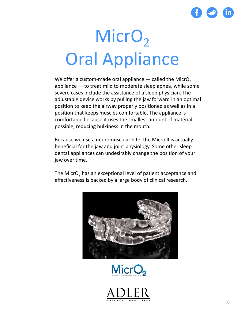

### MicrO<sub>2</sub> Oral Appliance

We offer a custom-made oral appliance  $-$  called the MicrO<sub>2</sub> appliance — to treat mild to moderate sleep apnea, while some severe cases include the assistance of a sleep physician. The adjustable device works by pulling the jaw forward in an optimal position to keep the airway properly positioned as well as in a position that keeps muscles comfortable. The appliance is comfortable because it uses the smallest amount of material possible, reducing bulkiness in the mouth.

Because we use a neuromuscular bite, the Micro II is actually beneficial for the jaw and joint physiology. Some other sleep dental appliances can undesirably change the position of your jaw over time.

The MicrO<sub>2</sub> has an exceptional level of patient acceptance and effectiveness is backed by a large body of clinical research.





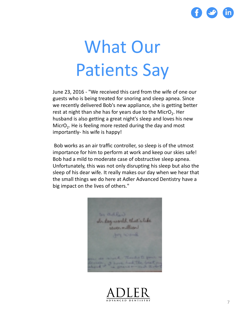

### What Our Patients Say

June 23, 2016 - "We received this card from the wife of one our guests who is being treated for snoring and sleep apnea. Since we recently delivered Bob's new appliance, she is getting better rest at night than she has for years due to the MicrO<sub>2</sub>. Her husband is also getting a great night's sleep and loves his new MicrO<sub>2</sub>. He is feeling more rested during the day and most importantly- his wife is happy!

Bob works as an air traffic controller, so sleep is of the utmost importance for him to perform at work and keep our skies safe! Bob had a mild to moderate case of obstructive sleep apnea. Unfortunately, this was not only disrupting his sleep but also the sleep of his dear wife. It really makes our day when we hear that the small things we do here at Adler Advanced Dentistry have a big impact on the lives of others."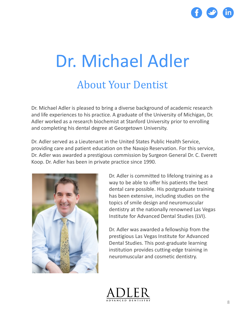

#### Dr. Michael Adler About Your Dentist

Dr. Michael Adler is pleased to bring a diverse background of academic research and life experiences to his practice. A graduate of the University of Michigan, Dr. Adler worked as a research biochemist at Stanford University prior to enrolling and completing his dental degree at Georgetown University.

Dr. Adler served as a Lieutenant in the United States Public Health Service, providing care and patient education on the Navajo Reservation. For this service, Dr. Adler was awarded a prestigious commission by Surgeon General Dr. C. Everett Koop. Dr. Adler has been in private practice since 1990.



Dr. Adler is committed to lifelong training as a way to be able to offer his patients the best dental care possible. His postgraduate training has been extensive, including studies on the topics of smile design and neuromuscular dentistry at the nationally renowned Las Vegas Institute for Advanced Dental Studies (LVI).

Dr. Adler was awarded a fellowship from the prestigious Las Vegas Institute for Advanced Dental Studies. This post-graduate learning institution provides cutting-edge training in neuromuscular and cosmetic dentistry.